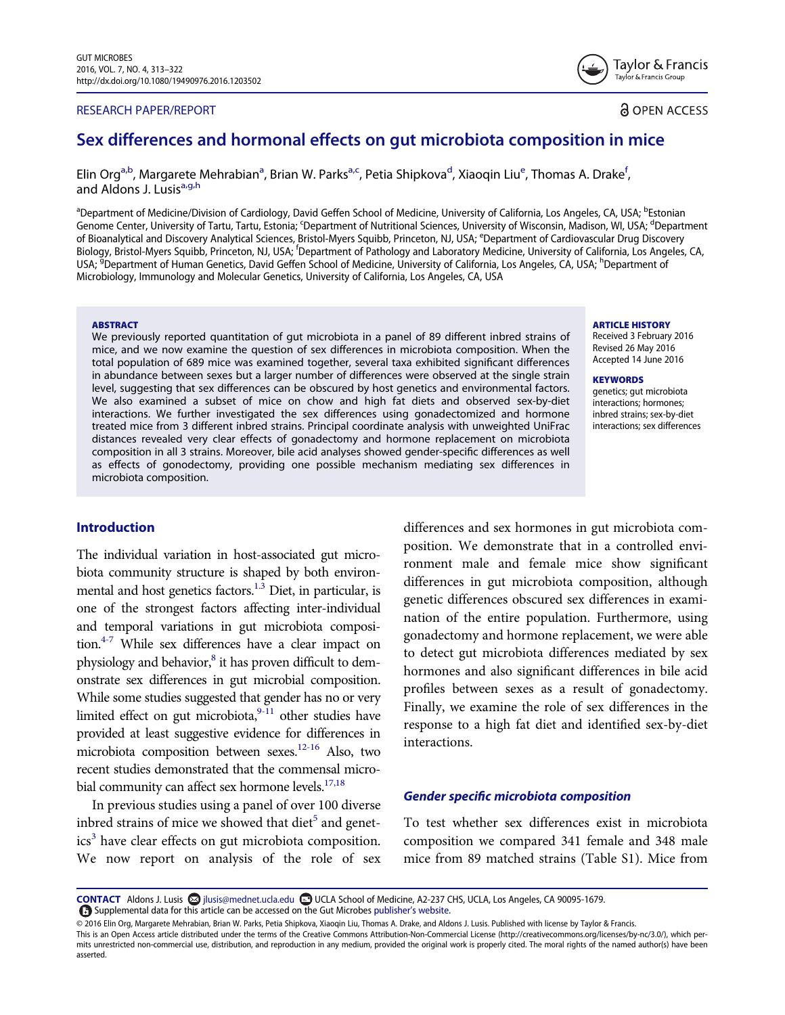#### RESEARCH PAPER/REPORT

Taylor & Francis Taylor & Francis Group

**a** OPEN ACCESS

# Sex differences and hormonal effects on gut microbiota composition in mice

Elin Org<sup>[a](#page-0-0),b</sup>, Margarete Mehrabian<sup>a</sup>, Brian W. Parks<sup>a[,c](#page-0-1)</sup>, Petia Shipkova<sup>[d](#page-0-1)</sup>, Xiaoqin Liu<sup>[e](#page-0-2)</sup>, Thomas A. Drake<sup>[f](#page-0-3)</sup> , and Aldons J. Lusis<sup>a[,g,h](#page-0-4)</sup>

<span id="page-0-4"></span><span id="page-0-3"></span><span id="page-0-2"></span><span id="page-0-1"></span><span id="page-0-0"></span><sup>a</sup>Department of Medicine/Division of Cardiology, David Geffen School of Medicine, University of California, Los Angeles, CA, USA; <sup>b</sup>Estonian Genome Center, University of Tartu, Tartu, Estonia; <sup>c</sup>Department of Nutritional Sciences, University of Wisconsin, Madison, WI, USA; <sup>d</sup>Department of Bioanalytical and Discovery Analytical Sciences, Bristol-Myers Squibb, Princeton, NJ, USA; <sup>e</sup>Department of Cardiovascular Drug Discovery Biology, Bristol-Myers Squibb, Princeton, NJ, USA; <sup>f</sup>Department of Pathology and Laboratory Medicine, University of California, Los Angeles, CA, USA; <sup>9</sup>Department of Human Genetics, David Geffen School of Medicine, University of California, Los Angeles, CA, USA; <sup>h</sup>Department of Microbiology, Immunology and Molecular Genetics, University of California, Los Angeles, CA, USA

#### **ABSTRACT**

We previously reported quantitation of gut microbiota in a panel of 89 different inbred strains of mice, and we now examine the question of sex differences in microbiota composition. When the total population of 689 mice was examined together, several taxa exhibited significant differences in abundance between sexes but a larger number of differences were observed at the single strain level, suggesting that sex differences can be obscured by host genetics and environmental factors. We also examined a subset of mice on chow and high fat diets and observed sex-by-diet interactions. We further investigated the sex differences using gonadectomized and hormone treated mice from 3 different inbred strains. Principal coordinate analysis with unweighted UniFrac distances revealed very clear effects of gonadectomy and hormone replacement on microbiota composition in all 3 strains. Moreover, bile acid analyses showed gender-specific differences as well as effects of gonodectomy, providing one possible mechanism mediating sex differences in microbiota composition.

## Introduction

The individual variation in host-associated gut microbiota community structure is shaped by both environmental and host genetics factors.<sup>1.3</sup> Diet, in particular, is one of the strongest factors affecting inter-individual and temporal variations in gut microbiota composition. $4-7$  While sex differences have a clear impact on physiology and behavior,<sup>[8](#page-8-0)</sup> it has proven difficult to demonstrate sex differences in gut microbial composition. While some studies suggested that gender has no or very limited effect on gut microbiota,  $9-11$  other studies have provided at least suggestive evidence for differences in microbiota composition between sexes[.12-16](#page-8-2) Also, two recent studies demonstrated that the commensal microbial community can affect sex hormone levels.<sup>17,18</sup>

In previous studies using a panel of over 100 diverse inbred strains of mice we showed that diet<sup>[5](#page-7-2)</sup> and genet $ics<sup>3</sup>$  have clear effects on gut microbiota composition. We now report on analysis of the role of sex differences and sex hormones in gut microbiota composition. We demonstrate that in a controlled environment male and female mice show significant differences in gut microbiota composition, although genetic differences obscured sex differences in examination of the entire population. Furthermore, using gonadectomy and hormone replacement, we were able to detect gut microbiota differences mediated by sex hormones and also significant differences in bile acid profiles between sexes as a result of gonadectomy. Finally, we examine the role of sex differences in the response to a high fat diet and identified sex-by-diet interactions.

## Gender specific microbiota composition

To test whether sex differences exist in microbiota composition we compared 341 female and 348 male mice from 89 matched strains (Table S1). Mice from

CONTACT Aldons J. Lusis <a>
jlusis@mednet.ucla.edu <a>
UCLA School of Medicine, A2-237 CHS, UCLA, Los Angeles, CA 90095-1679. Supplemental data for this article can be accessed on the Gut Microbes publisher'[s website](http://www.tandfonline.com/kgmi).

#### ARTICLE HISTORY

Received 3 February 2016 Revised 26 May 2016 Accepted 14 June 2016

#### **KEYWORDS**

genetics; gut microbiota interactions; hormones; inbred strains; sex-by-diet interactions; sex differences

<sup>© 2016</sup> Elin Org, Margarete Mehrabian, Brian W. Parks, Petia Shipkova, Xiaoqin Liu, Thomas A. Drake, and Aldons J. Lusis. Published with license by Taylor & Francis.

This is an Open Access article distributed under the terms of the Creative Commons Attribution-Non-Commercial License (http://creativecommons.org/licenses/by-nc/3.0/), which permits unrestricted non-commercial use, distribution, and reproduction in any medium, provided the original work is properly cited. The moral rights of the named author(s) have been asserted.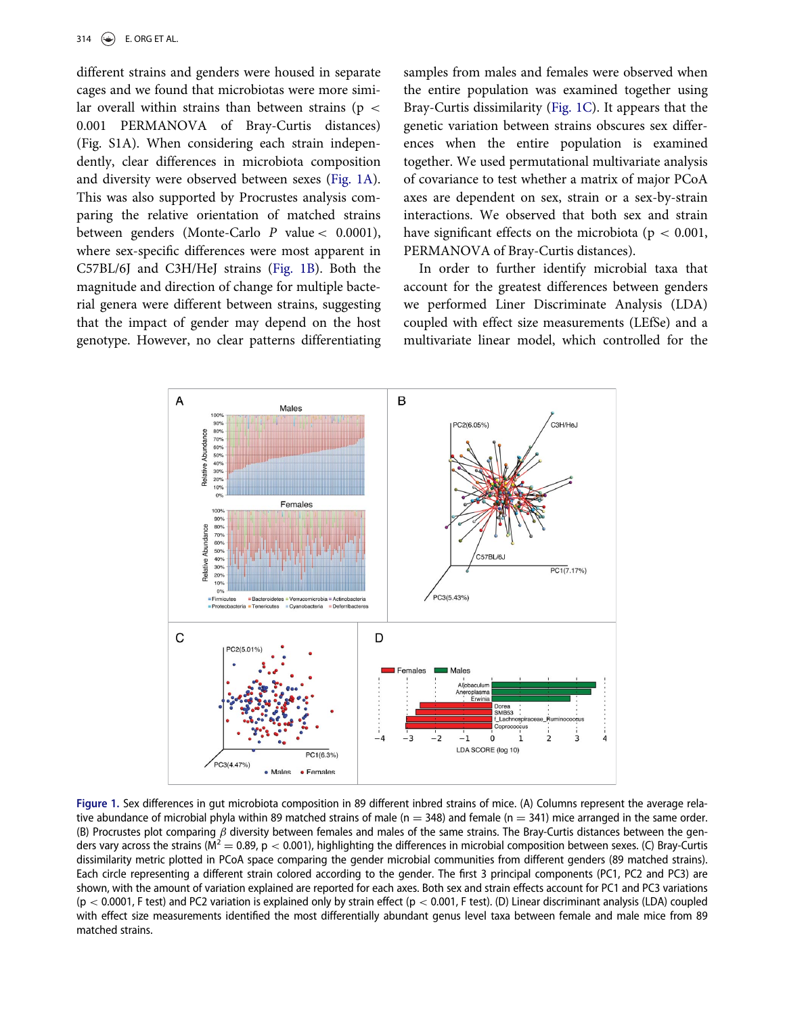different strains and genders were housed in separate cages and we found that microbiotas were more similar overall within strains than between strains ( $p <$ 0.001 PERMANOVA of Bray-Curtis distances) (Fig. S1A). When considering each strain independently, clear differences in microbiota composition and diversity were observed between sexes [\(Fig. 1A\)](#page-1-0). This was also supported by Procrustes analysis comparing the relative orientation of matched strains between genders (Monte-Carlo P value < 0.0001), where sex-specific differences were most apparent in C57BL/6J and C3H/HeJ strains ([Fig. 1B\)](#page-1-0). Both the magnitude and direction of change for multiple bacterial genera were different between strains, suggesting that the impact of gender may depend on the host genotype. However, no clear patterns differentiating samples from males and females were observed when the entire population was examined together using Bray-Curtis dissimilarity [\(Fig. 1C\)](#page-1-0). It appears that the genetic variation between strains obscures sex differences when the entire population is examined together. We used permutational multivariate analysis of covariance to test whether a matrix of major PCoA axes are dependent on sex, strain or a sex-by-strain interactions. We observed that both sex and strain have significant effects on the microbiota ( $p < 0.001$ , PERMANOVA of Bray-Curtis distances).

In order to further identify microbial taxa that account for the greatest differences between genders we performed Liner Discriminate Analysis (LDA) coupled with effect size measurements (LEfSe) and a multivariate linear model, which controlled for the

<span id="page-1-0"></span>

Figure 1. Sex differences in gut microbiota composition in 89 different inbred strains of mice. (A) Columns represent the average relative abundance of microbial phyla within 89 matched strains of male (n = 348) and female (n = 341) mice arranged in the same order. (B) Procrustes plot comparing  $\beta$  diversity between females and males of the same strains. The Bray-Curtis distances between the genders vary across the strains ( $M^2 = 0.89$ , p < 0.001), highlighting the differences in microbial composition between sexes. (C) Bray-Curtis dissimilarity metric plotted in PCoA space comparing the gender microbial communities from different genders (89 matched strains). Each circle representing a different strain colored according to the gender. The first 3 principal components (PC1, PC2 and PC3) are shown, with the amount of variation explained are reported for each axes. Both sex and strain effects account for PC1 and PC3 variations  $(p < 0.0001$ , F test) and PC2 variation is explained only by strain effect  $(p < 0.001$ , F test). (D) Linear discriminant analysis (LDA) coupled with effect size measurements identified the most differentially abundant genus level taxa between female and male mice from 89 matched strains.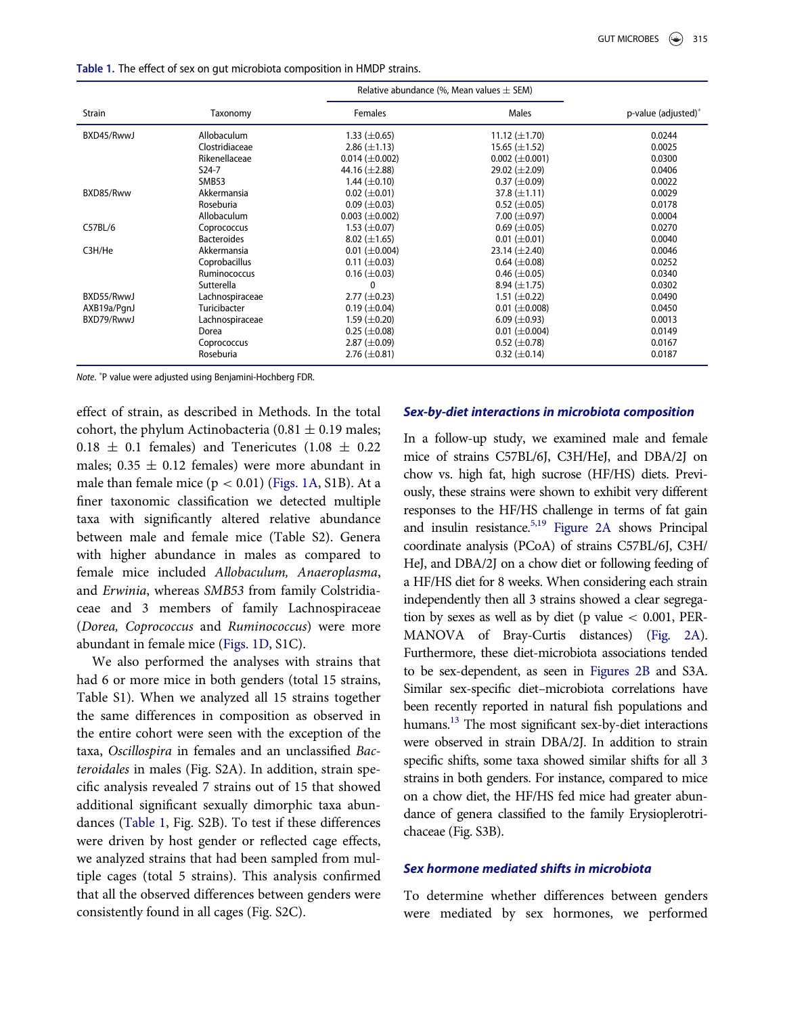<span id="page-2-0"></span>Table 1. The effect of sex on gut microbiota composition in HMDP strains.

|             |                    | Relative abundance (%, Mean values $\pm$ SEM) |                       |                     |
|-------------|--------------------|-----------------------------------------------|-----------------------|---------------------|
| Strain      | Taxonomy           | <b>Females</b>                                | Males                 | p-value (adjusted)* |
| BXD45/RwwJ  | Allobaculum        | $1.33 \ (\pm 0.65)$                           | 11.12 $(\pm 1.70)$    | 0.0244              |
|             | Clostridiaceae     | $2.86 \ (\pm 1.13)$                           | $15.65 \ (\pm 1.52)$  | 0.0025              |
|             | Rikenellaceae      | $0.014 \ (\pm 0.002)$                         | $0.002 \ (\pm 0.001)$ | 0.0300              |
|             | $S24-7$            | 44.16 $(\pm 2.88)$                            | 29.02 $(\pm 2.09)$    | 0.0406              |
|             | SMB53              | $1.44 \ (\pm 0.10)$                           | $0.37 \ (\pm 0.09)$   | 0.0022              |
| BXD85/Rww   | Akkermansia        | $0.02 \ (\pm 0.01)$                           | $37.8 \ (\pm 1.11)$   | 0.0029              |
|             | Roseburia          | $0.09 \ (\pm 0.03)$                           | $0.52 \ (\pm 0.05)$   | 0.0178              |
|             | Allobaculum        | $0.003 \ (\pm 0.002)$                         | 7.00 $(\pm 0.97)$     | 0.0004              |
| C57BL/6     | Coprococcus        | $1.53 \ (\pm 0.07)$                           | $0.69 \ (\pm 0.05)$   | 0.0270              |
|             | <b>Bacteroides</b> | $8.02 \ (\pm 1.65)$                           | $0.01 (\pm 0.01)$     | 0.0040              |
| C3H/He      | Akkermansia        | $0.01 (\pm 0.004)$                            | $23.14 \ (\pm 2.40)$  | 0.0046              |
|             | Coprobacillus      | $0.11 (\pm 0.03)$                             | $0.64 \ (\pm 0.08)$   | 0.0252              |
|             | Ruminococcus       | $0.16 \ (\pm 0.03)$                           | $0.46 \ (\pm 0.05)$   | 0.0340              |
|             | Sutterella         | $\Omega$                                      | 8.94 $(\pm 1.75)$     | 0.0302              |
| BXD55/RwwJ  | Lachnospiraceae    | $2.77 \ (\pm 0.23)$                           | $1.51 (\pm 0.22)$     | 0.0490              |
| AXB19a/PqnJ | Turicibacter       | $0.19 \ (\pm 0.04)$                           | $0.01 (\pm 0.008)$    | 0.0450              |
| BXD79/RwwJ  | Lachnospiraceae    | $1.59 \ (\pm 0.20)$                           | $6.09 \ (\pm 0.93)$   | 0.0013              |
|             | Dorea              | $0.25 \ (\pm 0.08)$                           | $0.01 (\pm 0.004)$    | 0.0149              |
|             | Coprococcus        | $2.87 \ (\pm 0.09)$                           | $0.52 \ (\pm 0.78)$   | 0.0167              |
|             | Roseburia          | $2.76 \ (\pm 0.81)$                           | $0.32 \ (\pm 0.14)$   | 0.0187              |

Note. P value were adjusted using Benjamini-Hochberg FDR.

effect of strain, as described in Methods. In the total cohort, the phylum Actinobacteria (0.81  $\pm$  0.19 males;  $0.18 \pm 0.1$  females) and Tenericutes (1.08  $\pm$  0.22 males;  $0.35 \pm 0.12$  females) were more abundant in male than female mice  $(p < 0.01)$  ([Figs. 1A](#page-1-0), S1B). At a finer taxonomic classification we detected multiple taxa with significantly altered relative abundance between male and female mice (Table S2). Genera with higher abundance in males as compared to female mice included Allobaculum, Anaeroplasma, and Erwinia, whereas SMB53 from family Colstridiaceae and 3 members of family Lachnospiraceae (Dorea, Coprococcus and Ruminococcus) were more abundant in female mice [\(Figs. 1D,](#page-1-0) S1C).

We also performed the analyses with strains that had 6 or more mice in both genders (total 15 strains, Table S1). When we analyzed all 15 strains together the same differences in composition as observed in the entire cohort were seen with the exception of the taxa, Oscillospira in females and an unclassified Bacteroidales in males (Fig. S2A). In addition, strain specific analysis revealed 7 strains out of 15 that showed additional significant sexually dimorphic taxa abundances [\(Table 1](#page-2-0), Fig. S2B). To test if these differences were driven by host gender or reflected cage effects, we analyzed strains that had been sampled from multiple cages (total 5 strains). This analysis confirmed that all the observed differences between genders were consistently found in all cages (Fig. S2C).

#### Sex-by-diet interactions in microbiota composition

In a follow-up study, we examined male and female mice of strains C57BL/6J, C3H/HeJ, and DBA/2J on chow vs. high fat, high sucrose (HF/HS) diets. Previously, these strains were shown to exhibit very different responses to the HF/HS challenge in terms of fat gain and insulin resistance.<sup>[5,19](#page-7-2)</sup> [Figure 2A](#page-3-0) shows Principal coordinate analysis (PCoA) of strains C57BL/6J, C3H/ HeJ, and DBA/2J on a chow diet or following feeding of a HF/HS diet for 8 weeks. When considering each strain independently then all 3 strains showed a clear segregation by sexes as well as by diet (p value  $< 0.001$ , PER-MANOVA of Bray-Curtis distances) [\(Fig. 2A](#page-3-0)). Furthermore, these diet-microbiota associations tended to be sex-dependent, as seen in [Figures 2B](#page-3-0) and S3A. Similar sex-specific diet–microbiota correlations have been recently reported in natural fish populations and humans.<sup>13</sup> The most significant sex-by-diet interactions were observed in strain DBA/2J. In addition to strain specific shifts, some taxa showed similar shifts for all 3 strains in both genders. For instance, compared to mice on a chow diet, the HF/HS fed mice had greater abundance of genera classified to the family Erysioplerotrichaceae (Fig. S3B).

# Sex hormone mediated shifts in microbiota

To determine whether differences between genders were mediated by sex hormones, we performed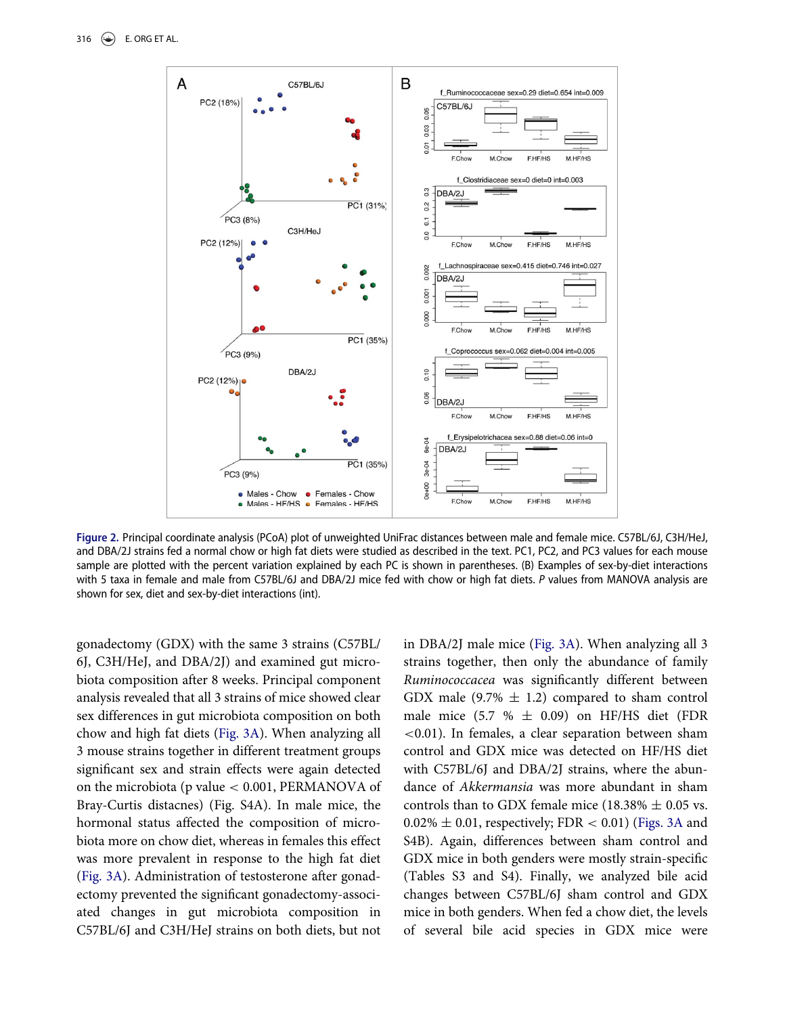<span id="page-3-0"></span>

Figure 2. Principal coordinate analysis (PCoA) plot of unweighted UniFrac distances between male and female mice. C57BL/6J, C3H/HeJ, and DBA/2J strains fed a normal chow or high fat diets were studied as described in the text. PC1, PC2, and PC3 values for each mouse sample are plotted with the percent variation explained by each PC is shown in parentheses. (B) Examples of sex-by-diet interactions with 5 taxa in female and male from C57BL/6J and DBA/2J mice fed with chow or high fat diets. P values from MANOVA analysis are shown for sex, diet and sex-by-diet interactions (int).

gonadectomy (GDX) with the same 3 strains (C57BL/ 6J, C3H/HeJ, and DBA/2J) and examined gut microbiota composition after 8 weeks. Principal component analysis revealed that all 3 strains of mice showed clear sex differences in gut microbiota composition on both chow and high fat diets [\(Fig. 3A](#page-4-0)). When analyzing all 3 mouse strains together in different treatment groups significant sex and strain effects were again detected on the microbiota (p value < 0.001, PERMANOVA of Bray-Curtis distacnes) (Fig. S4A). In male mice, the hormonal status affected the composition of microbiota more on chow diet, whereas in females this effect was more prevalent in response to the high fat diet ([Fig. 3A\)](#page-4-0). Administration of testosterone after gonadectomy prevented the significant gonadectomy-associated changes in gut microbiota composition in C57BL/6J and C3H/HeJ strains on both diets, but not

in DBA/2J male mice ([Fig. 3A\)](#page-4-0). When analyzing all 3 strains together, then only the abundance of family Ruminococcacea was significantly different between GDX male (9.7%  $\pm$  1.2) compared to sham control male mice (5.7 %  $\pm$  0.09) on HF/HS diet (FDR <0.01). In females, a clear separation between sham control and GDX mice was detected on HF/HS diet with C57BL/6J and DBA/2J strains, where the abundance of Akkermansia was more abundant in sham controls than to GDX female mice (18.38%  $\pm$  0.05 vs.  $0.02\% \pm 0.01$ , respectively; FDR < 0.01) ([Figs. 3A](#page-4-0) and S4B). Again, differences between sham control and GDX mice in both genders were mostly strain-specific (Tables S3 and S4). Finally, we analyzed bile acid changes between C57BL/6J sham control and GDX mice in both genders. When fed a chow diet, the levels of several bile acid species in GDX mice were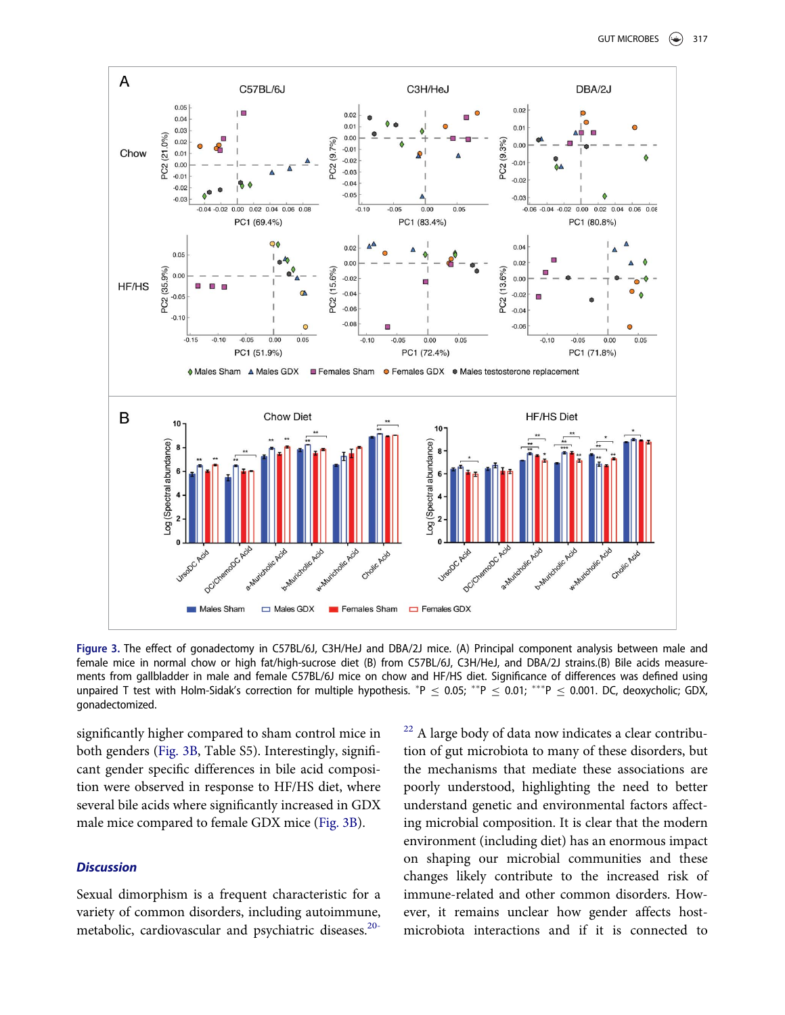<span id="page-4-0"></span>

Figure 3. The effect of gonadectomy in C57BL/6J, C3H/HeJ and DBA/2J mice. (A) Principal component analysis between male and female mice in normal chow or high fat/high-sucrose diet (B) from C57BL/6J, C3H/HeJ, and DBA/2J strains.(B) Bile acids measurements from gallbladder in male and female C57BL/6J mice on chow and HF/HS diet. Significance of differences was defined using unpaired T test with Holm-Sidak's correction for multiple hypothesis.  $^*P \le 0.05;$   $^{**}P \le 0.01;$   $^{***}P \le 0.001$ . DC, deoxycholic; GDX, gonadectomized.

significantly higher compared to sham control mice in both genders [\(Fig. 3B](#page-4-0), Table S5). Interestingly, significant gender specific differences in bile acid composition were observed in response to HF/HS diet, where several bile acids where significantly increased in GDX male mice compared to female GDX mice ([Fig. 3B\)](#page-4-0).

# **Discussion**

Sexual dimorphism is a frequent characteristic for a variety of common disorders, including autoimmune, metabolic, cardiovascular and psychiatric diseases.<sup>[20-](#page-8-5)</sup> <sup>[22](#page-8-5)</sup> A large body of data now indicates a clear contribution of gut microbiota to many of these disorders, but the mechanisms that mediate these associations are poorly understood, highlighting the need to better understand genetic and environmental factors affecting microbial composition. It is clear that the modern environment (including diet) has an enormous impact on shaping our microbial communities and these changes likely contribute to the increased risk of immune-related and other common disorders. However, it remains unclear how gender affects hostmicrobiota interactions and if it is connected to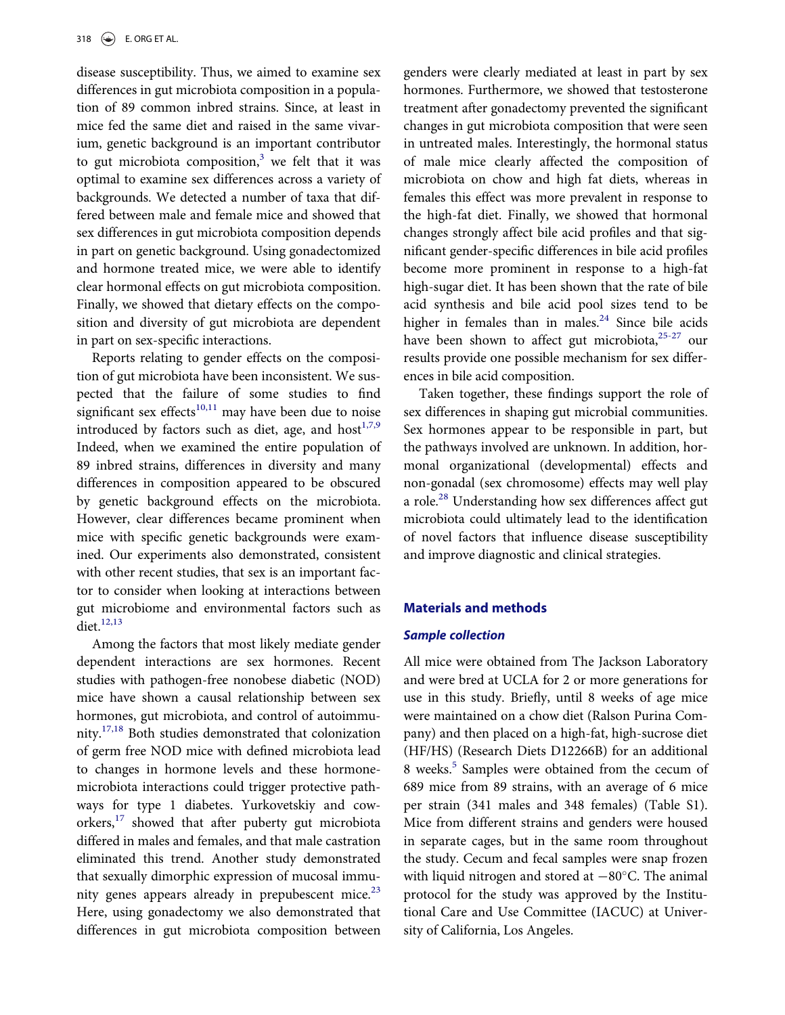disease susceptibility. Thus, we aimed to examine sex differences in gut microbiota composition in a population of 89 common inbred strains. Since, at least in mice fed the same diet and raised in the same vivarium, genetic background is an important contributor to gut microbiota composition, $3$  we felt that it was optimal to examine sex differences across a variety of backgrounds. We detected a number of taxa that differed between male and female mice and showed that sex differences in gut microbiota composition depends in part on genetic background. Using gonadectomized and hormone treated mice, we were able to identify clear hormonal effects on gut microbiota composition. Finally, we showed that dietary effects on the composition and diversity of gut microbiota are dependent in part on sex-specific interactions.

Reports relating to gender effects on the composition of gut microbiota have been inconsistent. We suspected that the failure of some studies to find significant sex effects<sup>[10,11](#page-8-6)</sup> may have been due to noise introduced by factors such as diet, age, and host $1,7,9$ Indeed, when we examined the entire population of 89 inbred strains, differences in diversity and many differences in composition appeared to be obscured by genetic background effects on the microbiota. However, clear differences became prominent when mice with specific genetic backgrounds were examined. Our experiments also demonstrated, consistent with other recent studies, that sex is an important factor to consider when looking at interactions between gut microbiome and environmental factors such as  $\text{dict.}^{12,13}$  $\text{dict.}^{12,13}$  $\text{dict.}^{12,13}$ 

Among the factors that most likely mediate gender dependent interactions are sex hormones. Recent studies with pathogen-free nonobese diabetic (NOD) mice have shown a causal relationship between sex hormones, gut microbiota, and control of autoimmunity.[17,18](#page-8-3) Both studies demonstrated that colonization of germ free NOD mice with defined microbiota lead to changes in hormone levels and these hormonemicrobiota interactions could trigger protective pathways for type 1 diabetes. Yurkovetskiy and cow-orkers,<sup>[17](#page-8-3)</sup> showed that after puberty gut microbiota differed in males and females, and that male castration eliminated this trend. Another study demonstrated that sexually dimorphic expression of mucosal immunity genes appears already in prepubescent mice. $23$ Here, using gonadectomy we also demonstrated that differences in gut microbiota composition between

genders were clearly mediated at least in part by sex hormones. Furthermore, we showed that testosterone treatment after gonadectomy prevented the significant changes in gut microbiota composition that were seen in untreated males. Interestingly, the hormonal status of male mice clearly affected the composition of microbiota on chow and high fat diets, whereas in females this effect was more prevalent in response to the high-fat diet. Finally, we showed that hormonal changes strongly affect bile acid profiles and that significant gender-specific differences in bile acid profiles become more prominent in response to a high-fat high-sugar diet. It has been shown that the rate of bile acid synthesis and bile acid pool sizes tend to be higher in females than in males. $24$  Since bile acids have been shown to affect gut microbiota, $25-27$  our results provide one possible mechanism for sex differences in bile acid composition.

Taken together, these findings support the role of sex differences in shaping gut microbial communities. Sex hormones appear to be responsible in part, but the pathways involved are unknown. In addition, hormonal organizational (developmental) effects and non-gonadal (sex chromosome) effects may well play a role.[28](#page-8-10) Understanding how sex differences affect gut microbiota could ultimately lead to the identification of novel factors that influence disease susceptibility and improve diagnostic and clinical strategies.

## Materials and methods

#### Sample collection

All mice were obtained from The Jackson Laboratory and were bred at UCLA for 2 or more generations for use in this study. Briefly, until 8 weeks of age mice were maintained on a chow diet (Ralson Purina Company) and then placed on a high-fat, high-sucrose diet (HF/HS) (Research Diets D12266B) for an additional 8 weeks.<sup>[5](#page-7-2)</sup> Samples were obtained from the cecum of 689 mice from 89 strains, with an average of 6 mice per strain (341 males and 348 females) (Table S1). Mice from different strains and genders were housed in separate cages, but in the same room throughout the study. Cecum and fecal samples were snap frozen with liquid nitrogen and stored at  $-80^{\circ}$ C. The animal protocol for the study was approved by the Institutional Care and Use Committee (IACUC) at University of California, Los Angeles.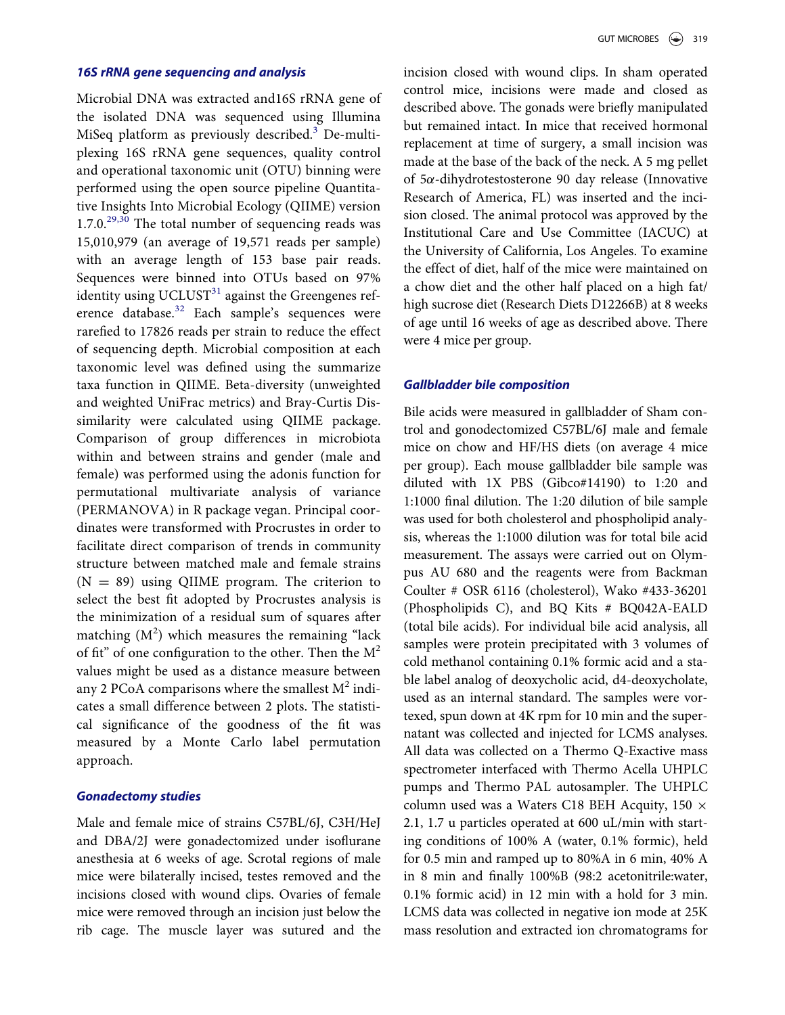## 16S rRNA gene sequencing and analysis

Microbial DNA was extracted and16S rRNA gene of the isolated DNA was sequenced using Illumina MiSeq platform as previously described.<sup>[3](#page-7-3)</sup> De-multiplexing 16S rRNA gene sequences, quality control and operational taxonomic unit (OTU) binning were performed using the open source pipeline Quantitative Insights Into Microbial Ecology (QIIME) version  $1.7.0^{29,30}$  $1.7.0^{29,30}$  $1.7.0^{29,30}$  The total number of sequencing reads was 15,010,979 (an average of 19,571 reads per sample) with an average length of 153 base pair reads. Sequences were binned into OTUs based on 97% identity using UCLUST<sup>[31](#page-9-0)</sup> against the Greengenes ref-erence database.<sup>[32](#page-9-1)</sup> Each sample's sequences were rarefied to 17826 reads per strain to reduce the effect of sequencing depth. Microbial composition at each taxonomic level was defined using the summarize taxa function in QIIME. Beta-diversity (unweighted and weighted UniFrac metrics) and Bray-Curtis Dissimilarity were calculated using QIIME package. Comparison of group differences in microbiota within and between strains and gender (male and female) was performed using the adonis function for permutational multivariate analysis of variance (PERMANOVA) in R package vegan. Principal coordinates were transformed with Procrustes in order to facilitate direct comparison of trends in community structure between matched male and female strains  $(N = 89)$  using QIIME program. The criterion to select the best fit adopted by Procrustes analysis is the minimization of a residual sum of squares after matching  $(M^2)$  which measures the remaining "lack of fit" of one configuration to the other. Then the  $M^2$ values might be used as a distance measure between any 2 PCoA comparisons where the smallest  $M^2$  indicates a small difference between 2 plots. The statistical significance of the goodness of the fit was measured by a Monte Carlo label permutation approach.

# Gonadectomy studies

Male and female mice of strains C57BL/6J, C3H/HeJ and DBA/2J were gonadectomized under isoflurane anesthesia at 6 weeks of age. Scrotal regions of male mice were bilaterally incised, testes removed and the incisions closed with wound clips. Ovaries of female mice were removed through an incision just below the rib cage. The muscle layer was sutured and the

incision closed with wound clips. In sham operated control mice, incisions were made and closed as described above. The gonads were briefly manipulated but remained intact. In mice that received hormonal replacement at time of surgery, a small incision was made at the base of the back of the neck. A 5 mg pellet of  $5\alpha$ -dihydrotestosterone 90 day release (Innovative Research of America, FL) was inserted and the incision closed. The animal protocol was approved by the Institutional Care and Use Committee (IACUC) at the University of California, Los Angeles. To examine the effect of diet, half of the mice were maintained on a chow diet and the other half placed on a high fat/ high sucrose diet (Research Diets D12266B) at 8 weeks of age until 16 weeks of age as described above. There were 4 mice per group.

#### Gallbladder bile composition

Bile acids were measured in gallbladder of Sham control and gonodectomized C57BL/6J male and female mice on chow and HF/HS diets (on average 4 mice per group). Each mouse gallbladder bile sample was diluted with 1X PBS (Gibco#14190) to 1:20 and 1:1000 final dilution. The 1:20 dilution of bile sample was used for both cholesterol and phospholipid analysis, whereas the 1:1000 dilution was for total bile acid measurement. The assays were carried out on Olympus AU 680 and the reagents were from Backman Coulter # OSR 6116 (cholesterol), Wako #433-36201 (Phospholipids C), and BQ Kits # BQ042A-EALD (total bile acids). For individual bile acid analysis, all samples were protein precipitated with 3 volumes of cold methanol containing 0.1% formic acid and a stable label analog of deoxycholic acid, d4-deoxycholate, used as an internal standard. The samples were vortexed, spun down at 4K rpm for 10 min and the supernatant was collected and injected for LCMS analyses. All data was collected on a Thermo Q-Exactive mass spectrometer interfaced with Thermo Acella UHPLC pumps and Thermo PAL autosampler. The UHPLC column used was a Waters C18 BEH Acquity, 150  $\times$ 2.1, 1.7 u particles operated at 600 uL/min with starting conditions of 100% A (water, 0.1% formic), held for 0.5 min and ramped up to 80%A in 6 min, 40% A in 8 min and finally 100%B (98:2 acetonitrile:water, 0.1% formic acid) in 12 min with a hold for 3 min. LCMS data was collected in negative ion mode at 25K mass resolution and extracted ion chromatograms for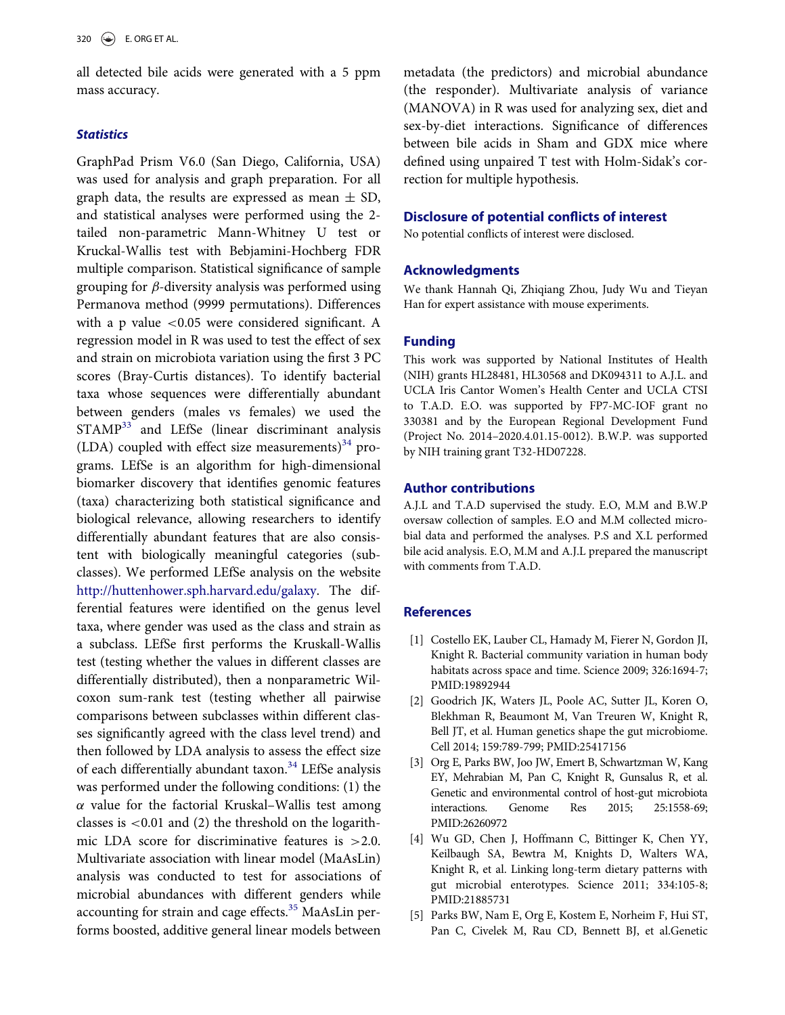all detected bile acids were generated with a 5 ppm mass accuracy.

#### **Statistics**

GraphPad Prism V6.0 (San Diego, California, USA) was used for analysis and graph preparation. For all graph data, the results are expressed as mean  $\pm$  SD, and statistical analyses were performed using the 2 tailed non-parametric Mann-Whitney U test or Kruckal-Wallis test with Bebjamini-Hochberg FDR multiple comparison. Statistical significance of sample grouping for  $\beta$ -diversity analysis was performed using Permanova method (9999 permutations). Differences with a p value  $< 0.05$  were considered significant. A regression model in R was used to test the effect of sex and strain on microbiota variation using the first 3 PC scores (Bray-Curtis distances). To identify bacterial taxa whose sequences were differentially abundant between genders (males vs females) we used the STAMP<sup>[33](#page-9-2)</sup> and LEfSe (linear discriminant analysis (LDA) coupled with effect size measurements) $34$  programs. LEfSe is an algorithm for high-dimensional biomarker discovery that identifies genomic features (taxa) characterizing both statistical significance and biological relevance, allowing researchers to identify differentially abundant features that are also consistent with biologically meaningful categories (subclasses). We performed LEfSe analysis on the website [http://huttenhower.sph.harvard.edu/galaxy.](http://huttenhower.sph.harvard.edu/galaxy) The differential features were identified on the genus level taxa, where gender was used as the class and strain as a subclass. LEfSe first performs the Kruskall-Wallis test (testing whether the values in different classes are differentially distributed), then a nonparametric Wilcoxon sum-rank test (testing whether all pairwise comparisons between subclasses within different classes significantly agreed with the class level trend) and then followed by LDA analysis to assess the effect size of each differentially abundant taxon.<sup>[34](#page-9-3)</sup> LEfSe analysis was performed under the following conditions: (1) the  $\alpha$  value for the factorial Kruskal–Wallis test among classes is  $< 0.01$  and (2) the threshold on the logarithmic LDA score for discriminative features is >2.0. Multivariate association with linear model (MaAsLin) analysis was conducted to test for associations of microbial abundances with different genders while accounting for strain and cage effects.[35](#page-9-4) MaAsLin performs boosted, additive general linear models between

metadata (the predictors) and microbial abundance (the responder). Multivariate analysis of variance (MANOVA) in R was used for analyzing sex, diet and sex-by-diet interactions. Significance of differences between bile acids in Sham and GDX mice where defined using unpaired T test with Holm-Sidak's correction for multiple hypothesis.

## Disclosure of potential conflicts of interest

No potential conflicts of interest were disclosed.

#### Acknowledgments

We thank Hannah Qi, Zhiqiang Zhou, Judy Wu and Tieyan Han for expert assistance with mouse experiments.

#### Funding

This work was supported by National Institutes of Health (NIH) grants HL28481, HL30568 and DK094311 to A.J.L. and UCLA Iris Cantor Women's Health Center and UCLA CTSI to T.A.D. E.O. was supported by FP7-MC-IOF grant no 330381 and by the European Regional Development Fund (Project No. 2014–2020.4.01.15-0012). B.W.P. was supported by NIH training grant T32-HD07228.

## Author contributions

A.J.L and T.A.D supervised the study. E.O, M.M and B.W.P oversaw collection of samples. E.O and M.M collected microbial data and performed the analyses. P.S and X.L performed bile acid analysis. E.O, M.M and A.J.L prepared the manuscript with comments from T.A.D.

#### <span id="page-7-0"></span>**References**

- [1] Costello EK, Lauber CL, Hamady M, Fierer N, Gordon JI, Knight R. Bacterial community variation in human body habitats across space and time. Science 2009; 326:1694-7; PMID:[19892944](http://dx.doi.org/19892944)
- [2] Goodrich JK, Waters JL, Poole AC, Sutter JL, Koren O, Blekhman R, Beaumont M, Van Treuren W, Knight R, Bell JT, et al. Human genetics shape the gut microbiome. Cell 2014; 159:789-799; PMID[:25417156](http://dx.doi.org/25417156)
- <span id="page-7-3"></span>[3] Org E, Parks BW, Joo JW, Emert B, Schwartzman W, Kang EY, Mehrabian M, Pan C, Knight R, Gunsalus R, et al. Genetic and environmental control of host-gut microbiota interactions. Genome Res 2015; 25:1558-69; PMID[:26260972](http://dx.doi.org/26260972)
- <span id="page-7-1"></span>[4] Wu GD, Chen J, Hoffmann C, Bittinger K, Chen YY, Keilbaugh SA, Bewtra M, Knights D, Walters WA, Knight R, et al. Linking long-term dietary patterns with gut microbial enterotypes. Science 2011; 334:105-8; PMID:[21885731](http://dx.doi.org/21885731)
- <span id="page-7-2"></span>[5] Parks BW, Nam E, Org E, Kostem E, Norheim F, Hui ST, Pan C, Civelek M, Rau CD, Bennett BJ, et al.Genetic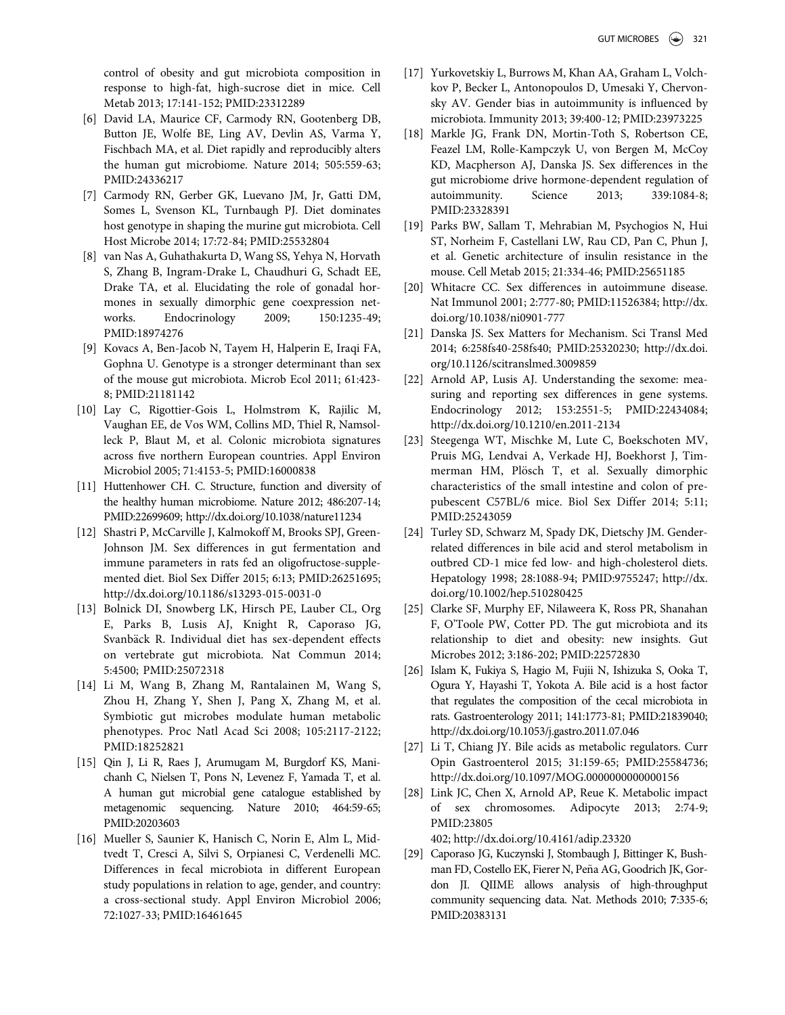<span id="page-8-3"></span>control of obesity and gut microbiota composition in response to high-fat, high-sucrose diet in mice. Cell Metab 2013; 17:141-152; PMID:[23312289](http://dx.doi.org/23312289)

- [6] David LA, Maurice CF, Carmody RN, Gootenberg DB, Button JE, Wolfe BE, Ling AV, Devlin AS, Varma Y, Fischbach MA, et al. Diet rapidly and reproducibly alters the human gut microbiome. Nature 2014; 505:559-63; PMID:[24336217](http://dx.doi.org/24336217)
- [7] Carmody RN, Gerber GK, Luevano JM, Jr, Gatti DM, Somes L, Svenson KL, Turnbaugh PJ. Diet dominates host genotype in shaping the murine gut microbiota. Cell Host Microbe 2014; 17:72-84; PMID:[25532804](http://dx.doi.org/25532804)
- <span id="page-8-5"></span><span id="page-8-0"></span>[8] van Nas A, Guhathakurta D, Wang SS, Yehya N, Horvath S, Zhang B, Ingram-Drake L, Chaudhuri G, Schadt EE, Drake TA, et al. Elucidating the role of gonadal hormones in sexually dimorphic gene coexpression networks. Endocrinology 2009; 150:1235-49; PMID:[18974276](http://dx.doi.org/18974276)
- <span id="page-8-1"></span>[9] Kovacs A, Ben-Jacob N, Tayem H, Halperin E, Iraqi FA, Gophna U. Genotype is a stronger determinant than sex of the mouse gut microbiota. Microb Ecol 2011; 61:423- 8; PMID:[21181142](http://dx.doi.org/21181142)
- <span id="page-8-7"></span><span id="page-8-6"></span>[10] Lay C, Rigottier-Gois L, Holmstrøm K, Rajilic M, Vaughan EE, de Vos WM, Collins MD, Thiel R, Namsolleck P, Blaut M, et al. Colonic microbiota signatures across five northern European countries. Appl Environ Microbiol 2005; 71:4153-5; PMID[:16000838](http://dx.doi.org/16000838)
- [11] Huttenhower CH. C. Structure, function and diversity of the healthy human microbiome. Nature 2012; 486:207-14; PMID:[22699609; http://dx.doi.org/10.1038/nature11234](http://dx.doi.org/10.1038/nature11234)
- <span id="page-8-8"></span><span id="page-8-2"></span>[12] Shastri P, McCarville J, Kalmokoff M, Brooks SPJ, Green-Johnson JM. Sex differences in gut fermentation and immune parameters in rats fed an oligofructose-supplemented diet. Biol Sex Differ 2015; 6:13; PMID:[26251695;](http://dx.doi.org/26251695) <http://dx.doi.org/10.1186/s13293-015-0031-0>
- <span id="page-8-9"></span><span id="page-8-4"></span>[13] Bolnick DI, Snowberg LK, Hirsch PE, Lauber CL, Org E, Parks B, Lusis AJ, Knight R, Caporaso JG, Svanbäck R. Individual diet has sex-dependent effects on vertebrate gut microbiota. Nat Commun 2014; 5:4500; PMID:[25072318](http://dx.doi.org/25072318)
- [14] Li M, Wang B, Zhang M, Rantalainen M, Wang S, Zhou H, Zhang Y, Shen J, Pang X, Zhang M, et al. Symbiotic gut microbes modulate human metabolic phenotypes. Proc Natl Acad Sci 2008; 105:2117-2122; PMID[:18252821](http://dx.doi.org/18252821)
- <span id="page-8-10"></span>[15] Qin J, Li R, Raes J, Arumugam M, Burgdorf KS, Manichanh C, Nielsen T, Pons N, Levenez F, Yamada T, et al. A human gut microbial gene catalogue established by metagenomic sequencing. Nature 2010; 464:59-65; PMID:[20203603](http://dx.doi.org/20203603)
- <span id="page-8-11"></span>[16] Mueller S, Saunier K, Hanisch C, Norin E, Alm L, Midtvedt T, Cresci A, Silvi S, Orpianesi C, Verdenelli MC. Differences in fecal microbiota in different European study populations in relation to age, gender, and country: a cross-sectional study. Appl Environ Microbiol 2006; 72:1027-33; PMID:[16461645](http://dx.doi.org/16461645)
- [17] Yurkovetskiy L, Burrows M, Khan AA, Graham L, Volchkov P, Becker L, Antonopoulos D, Umesaki Y, Chervonsky AV. Gender bias in autoimmunity is influenced by microbiota. Immunity 2013; 39:400-12; PMID:[23973225](http://dx.doi.org/23973225)
- [18] Markle JG, Frank DN, Mortin-Toth S, Robertson CE, Feazel LM, Rolle-Kampczyk U, von Bergen M, McCoy KD, Macpherson AJ, Danska JS. Sex differences in the gut microbiome drive hormone-dependent regulation of autoimmunity. Science 2013; 339:1084-8; PMID:[23328391](http://dx.doi.org/23328391)
- [19] Parks BW, Sallam T, Mehrabian M, Psychogios N, Hui ST, Norheim F, Castellani LW, Rau CD, Pan C, Phun J, et al. Genetic architecture of insulin resistance in the mouse. Cell Metab 2015; 21:334-46; PMID[:25651185](http://dx.doi.org/25651185)
- [20] Whitacre CC. Sex differences in autoimmune disease. Nat Immunol 2001; 2:777-80; PMID[:11526384; http://dx.](http://dx.doi.org/11526384) [doi.org/10.1038/ni0901-777](http://dx.doi.org/10.1038/ni0901-777)
- [21] Danska JS. Sex Matters for Mechanism. Sci Transl Med 2014; 6:258fs40-258fs40; PMID[:25320230; http://dx.doi.](http://dx.doi.org/25320230) [org/10.1126/scitranslmed.3009859](http://dx.doi.org/10.1126/scitranslmed.3009859)
- [22] Arnold AP, Lusis AJ. Understanding the sexome: measuring and reporting sex differences in gene systems. Endocrinology 2012; 153:2551-5; PMID:[22434084;](http://dx.doi.org/22434084) <http://dx.doi.org/10.1210/en.2011-2134>
- [23] Steegenga WT, Mischke M, Lute C, Boekschoten MV, Pruis MG, Lendvai A, Verkade HJ, Boekhorst J, Timmerman HM, Plösch T, et al. Sexually dimorphic characteristics of the small intestine and colon of prepubescent C57BL/6 mice. Biol Sex Differ 2014; 5:11; PMID[:25243059](http://dx.doi.org/25243059)
- [24] Turley SD, Schwarz M, Spady DK, Dietschy JM. Genderrelated differences in bile acid and sterol metabolism in outbred CD-1 mice fed low- and high-cholesterol diets. Hepatology 1998; 28:1088-94; PMID:[9755247; http://dx.](http://dx.doi.org/9755247) [doi.org/10.1002/hep.510280425](http://dx.doi.org/10.1002/hep.510280425)
- [25] Clarke SF, Murphy EF, Nilaweera K, Ross PR, Shanahan F, O'Toole PW, Cotter PD. The gut microbiota and its relationship to diet and obesity: new insights. Gut Microbes 2012; 3:186-202; PMID[:22572830](http://dx.doi.org/22572830)
- [26] Islam K, Fukiya S, Hagio M, Fujii N, Ishizuka S, Ooka T, Ogura Y, Hayashi T, Yokota A. Bile acid is a host factor that regulates the composition of the cecal microbiota in rats. Gastroenterology 2011; 141:1773-81; PMID[:21839040;](http://dx.doi.org/21839040) <http://dx.doi.org/10.1053/j.gastro.2011.07.046>
- [27] Li T, Chiang JY. Bile acids as metabolic regulators. Curr Opin Gastroenterol 2015; 31:159-65; PMID:[25584736;](http://dx.doi.org/25584736) <http://dx.doi.org/10.1097/MOG.0000000000000156>
- [28] Link JC, Chen X, Arnold AP, Reue K. Metabolic impact of sex chromosomes. Adipocyte 2013; 2:74-9; PMID:[23805](http://dx.doi.org/23805402)

[402; http://dx.doi.org/10.4161/adip.23320](http://dx.doi.org/10.4161/adip.23320)

[29] Caporaso JG, Kuczynski J, Stombaugh J, Bittinger K, Bushman FD, Costello EK, Fierer N, Peña AG, Goodrich JK, Gordon JI. QIIME allows analysis of high-throughput community sequencing data. Nat. Methods 2010; 7:335-6; PMID:[20383131](http://dx.doi.org/20383131)